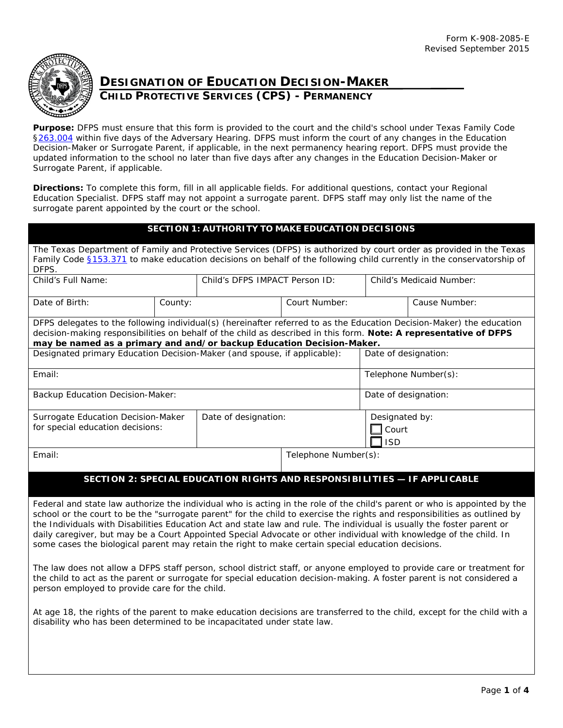

# **DESIGNATION OF EDUCATION DECISION-MAKER CHILD PROTECTIVE SERVICES (CPS) - PERMANENCY**

**Purpose:** DFPS must ensure that this form is provided to the court and the child's school under Texas Family Code [§263.004](http://www.statutes.legis.state.tx.us/Docs/FA/htm/FA.263.htm#263.004) within five days of the Adversary Hearing. DFPS must inform the court of any changes in the Education Decision-Maker or Surrogate Parent, if applicable, in the next permanency hearing report. DFPS must provide the updated information to the school no later than five days after any changes in the Education Decision-Maker or Surrogate Parent, if applicable.

**Directions:** To complete this form, fill in all applicable fields. For additional questions, contact your Regional Education Specialist. DFPS staff may not appoint a surrogate parent. DFPS staff may only list the name of the surrogate parent appointed by the court or the school.

#### **SECTION 1: AUTHORITY TO MAKE EDUCATION DECISIONS**

| The Texas Department of Family and Protective Services (DFPS) is authorized by court order as provided in the Texas<br>Family Code §153.371 to make education decisions on behalf of the following child currently in the conservatorship of<br>DFPS.                                                                                                                                                                                                                                                                                                                                                        |         |                                |               |                                       |                      |  |  |
|--------------------------------------------------------------------------------------------------------------------------------------------------------------------------------------------------------------------------------------------------------------------------------------------------------------------------------------------------------------------------------------------------------------------------------------------------------------------------------------------------------------------------------------------------------------------------------------------------------------|---------|--------------------------------|---------------|---------------------------------------|----------------------|--|--|
| Child's Full Name:                                                                                                                                                                                                                                                                                                                                                                                                                                                                                                                                                                                           |         | Child's DFPS IMPACT Person ID: |               | <b>Child's Medicaid Number:</b>       |                      |  |  |
| Date of Birth:                                                                                                                                                                                                                                                                                                                                                                                                                                                                                                                                                                                               | County: |                                | Court Number: | Cause Number:                         |                      |  |  |
| DFPS delegates to the following individual(s) (hereinafter referred to as the Education Decision-Maker) the education<br>decision-making responsibilities on behalf of the child as described in this form. Note: A representative of DFPS<br>may be named as a primary and and/or backup Education Decision-Maker.                                                                                                                                                                                                                                                                                          |         |                                |               |                                       |                      |  |  |
| Designated primary Education Decision-Maker (and spouse, if applicable):                                                                                                                                                                                                                                                                                                                                                                                                                                                                                                                                     |         |                                |               | Date of designation:                  |                      |  |  |
| Email:                                                                                                                                                                                                                                                                                                                                                                                                                                                                                                                                                                                                       |         |                                |               |                                       | Telephone Number(s): |  |  |
| Backup Education Decision-Maker:                                                                                                                                                                                                                                                                                                                                                                                                                                                                                                                                                                             |         |                                |               | Date of designation:                  |                      |  |  |
| Surrogate Education Decision-Maker<br>for special education decisions:                                                                                                                                                                                                                                                                                                                                                                                                                                                                                                                                       |         | Date of designation:           |               | Designated by:<br>Court<br><b>ISD</b> |                      |  |  |
| Email:                                                                                                                                                                                                                                                                                                                                                                                                                                                                                                                                                                                                       |         | Telephone Number(s):           |               |                                       |                      |  |  |
| SECTION 2: SPECIAL EDUCATION RIGHTS AND RESPONSIBILITIES - IF APPLICABLE                                                                                                                                                                                                                                                                                                                                                                                                                                                                                                                                     |         |                                |               |                                       |                      |  |  |
| Federal and state law authorize the individual who is acting in the role of the child's parent or who is appointed by the<br>school or the court to be the "surrogate parent" for the child to exercise the rights and responsibilities as outlined by<br>the Individuals with Disabilities Education Act and state law and rule. The individual is usually the foster parent or<br>daily caregiver, but may be a Court Appointed Special Advocate or other individual with knowledge of the child. In<br>some cases the biological parent may retain the right to make certain special education decisions. |         |                                |               |                                       |                      |  |  |

The law does not allow a DFPS staff person, school district staff, or anyone employed to provide care or treatment for the child to act as the parent or surrogate for special education decision-making. A foster parent is not considered a person employed to provide care for the child.

At age 18, the rights of the parent to make education decisions are transferred to the child, except for the child with a disability who has been determined to be incapacitated under state law.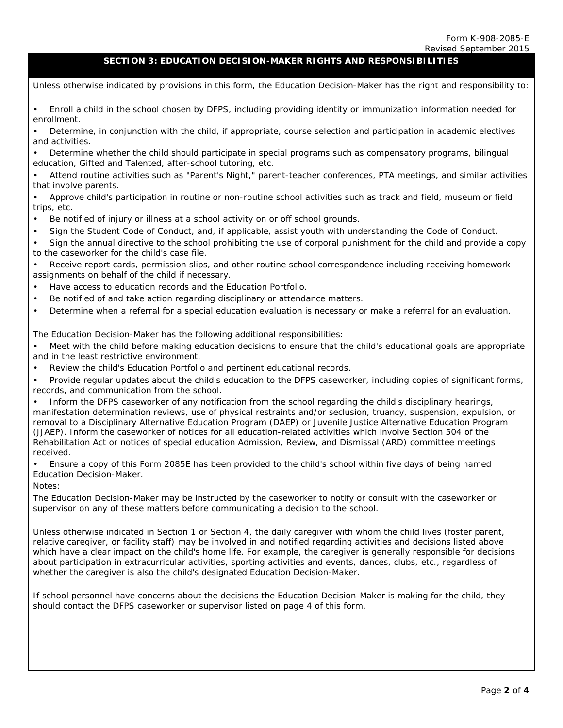# **SECTION 3: EDUCATION DECISION-MAKER RIGHTS AND RESPONSIBILITIES**

Unless otherwise indicated by provisions in this form, the Education Decision-Maker has the right and responsibility to:

• Enroll a child in the school chosen by DFPS, including providing identity or immunization information needed for enrollment.

• Determine, in conjunction with the child, if appropriate, course selection and participation in academic electives and activities.

• Determine whether the child should participate in special programs such as compensatory programs, bilingual education, Gifted and Talented, after-school tutoring, etc.

• Attend routine activities such as "Parent's Night," parent-teacher conferences, PTA meetings, and similar activities that involve parents.

• Approve child's participation in routine or non-routine school activities such as track and field, museum or field trips, etc.

- Be notified of injury or illness at a school activity on or off school grounds.
- Sign the Student Code of Conduct, and, if applicable, assist youth with understanding the Code of Conduct.

• Sign the annual directive to the school prohibiting the use of corporal punishment for the child and provide a copy to the caseworker for the child's case file.

• Receive report cards, permission slips, and other routine school correspondence including receiving homework assignments on behalf of the child if necessary.

- Have access to education records and the Education Portfolio.
- Be notified of and take action regarding disciplinary or attendance matters.
- Determine when a referral for a special education evaluation is necessary or make a referral for an evaluation.

The Education Decision-Maker has the following additional responsibilities:

• Meet with the child before making education decisions to ensure that the child's educational goals are appropriate and in the least restrictive environment.

• Review the child's Education Portfolio and pertinent educational records.

• Provide regular updates about the child's education to the DFPS caseworker, including copies of significant forms, records, and communication from the school.

• Inform the DFPS caseworker of any notification from the school regarding the child's disciplinary hearings, manifestation determination reviews, use of physical restraints and/or seclusion, truancy, suspension, expulsion, or removal to a Disciplinary Alternative Education Program (DAEP) or Juvenile Justice Alternative Education Program (JJAEP). Inform the caseworker of notices for all education-related activities which involve Section 504 of the Rehabilitation Act or notices of special education Admission, Review, and Dismissal (ARD) committee meetings received.

• Ensure a copy of this Form 2085E has been provided to the child's school within five days of being named Education Decision-Maker.

Notes:

The Education Decision-Maker may be instructed by the caseworker to notify or consult with the caseworker or supervisor on any of these matters before communicating a decision to the school.

Unless otherwise indicated in Section 1 or Section 4, the daily caregiver with whom the child lives (foster parent, relative caregiver, or facility staff) may be involved in and notified regarding activities and decisions listed above which have a clear impact on the child's home life. For example, the caregiver is generally responsible for decisions about participation in extracurricular activities, sporting activities and events, dances, clubs, etc., regardless of whether the caregiver is also the child's designated Education Decision-Maker.

If school personnel have concerns about the decisions the Education Decision-Maker is making for the child, they should contact the DFPS caseworker or supervisor listed on page 4 of this form.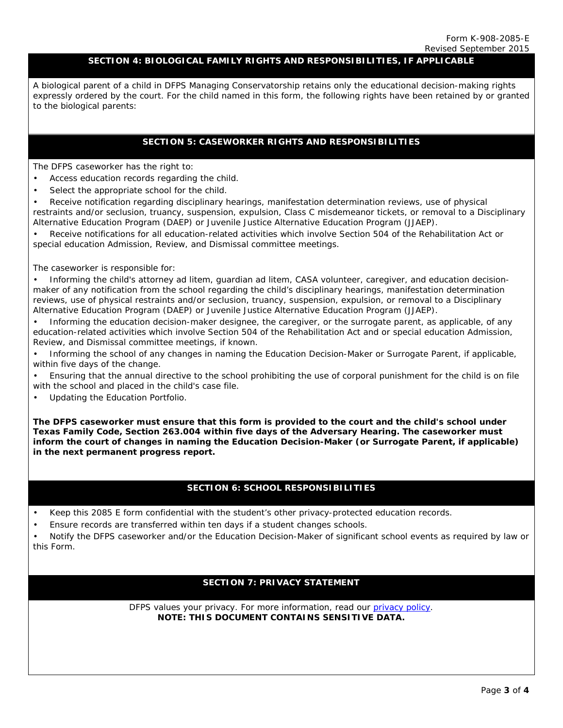### **SECTION 4: BIOLOGICAL FAMILY RIGHTS AND RESPONSIBILITIES, IF APPLICABLE**

A biological parent of a child in DFPS Managing Conservatorship retains only the educational decision-making rights expressly ordered by the court. For the child named in this form, the following rights have been retained by or granted to the biological parents:

# **SECTION 5: CASEWORKER RIGHTS AND RESPONSIBILITIES**

The DFPS caseworker has the right to:

- Access education records regarding the child.
- Select the appropriate school for the child.

• Receive notification regarding disciplinary hearings, manifestation determination reviews, use of physical restraints and/or seclusion, truancy, suspension, expulsion, Class C misdemeanor tickets, or removal to a Disciplinary Alternative Education Program (DAEP) or Juvenile Justice Alternative Education Program (JJAEP).

• Receive notifications for all education-related activities which involve Section 504 of the Rehabilitation Act or special education Admission, Review, and Dismissal committee meetings.

The caseworker is responsible for:

• Informing the child's attorney ad litem, guardian ad litem, CASA volunteer, caregiver, and education decisionmaker of any notification from the school regarding the child's disciplinary hearings, manifestation determination reviews, use of physical restraints and/or seclusion, truancy, suspension, expulsion, or removal to a Disciplinary Alternative Education Program (DAEP) or Juvenile Justice Alternative Education Program (JJAEP).

• Informing the education decision-maker designee, the caregiver, or the surrogate parent, as applicable, of any education-related activities which involve Section 504 of the Rehabilitation Act and or special education Admission, Review, and Dismissal committee meetings, if known.

• Informing the school of any changes in naming the Education Decision-Maker or Surrogate Parent, if applicable, within five days of the change.

• Ensuring that the annual directive to the school prohibiting the use of corporal punishment for the child is on file with the school and placed in the child's case file.

• Updating the Education Portfolio.

**The DFPS caseworker must ensure that this form is provided to the court and the child's school under Texas Family Code, Section 263.004 within five days of the Adversary Hearing. The caseworker must inform the court of changes in naming the Education Decision-Maker (or Surrogate Parent, if applicable) in the next permanent progress report.**

#### **SECTION 6: SCHOOL RESPONSIBILITIES**

• Keep this 2085 E form confidential with the student's other privacy-protected education records.

• Ensure records are transferred within ten days if a student changes schools.

• Notify the DFPS caseworker and/or the Education Decision-Maker of significant school events as required by law or this Form.

## **SECTION 7: PRIVACY STATEMENT**

DFPS values your privacy. For more information, read our [privacy policy.](http://www.dfps.state.tx.us/policies/privacy.asp) **NOTE: THIS DOCUMENT CONTAINS SENSITIVE DATA.**